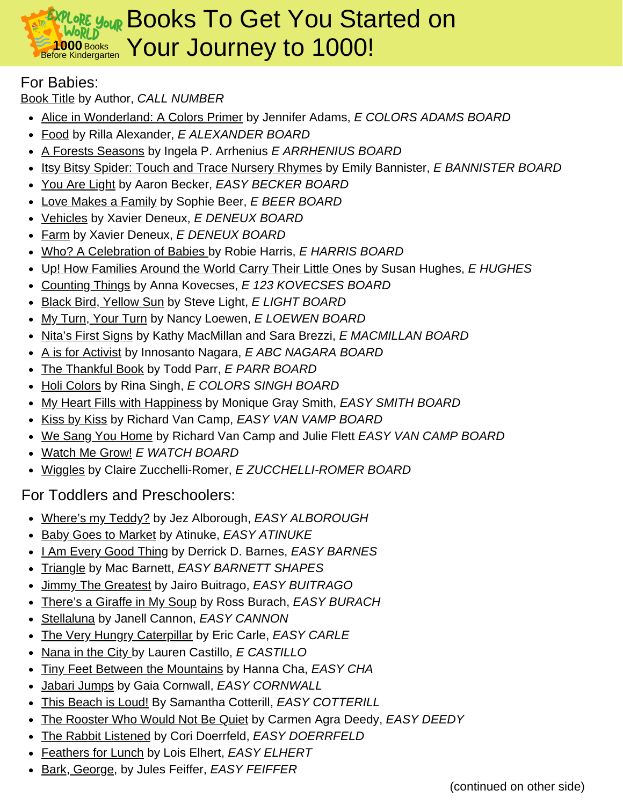#### **1000** Books EXPLORE YOUR BO orld **E 1000** Books Your Journey to 1000! Books To Get You Started on

### For Babies:

Book Title by Author, *CALL NUMBER*

- Alice in Wonderland: A Colors Primer by Jennifer Adams, *E COLORS ADAMS BOARD*
- Food by Rilla Alexander, *E ALEXANDER BOARD*
- A Forests Seasons by Ingela P. Arrhenius *E ARRHENIUS BOARD*
- Itsy Bitsy Spider: Touch and Trace Nursery Rhymes by Emily Bannister, *E BANNISTER BOARD*
- You Are Light by Aaron Becker, *EASY BECKER BOARD*
- Love Makes a Family by Sophie Beer, *E BEER BOARD*
- Vehicles by Xavier Deneux, *E DENEUX BOARD*
- Farm by Xavier Deneux, *E DENEUX BOARD*
- Who? A Celebration of Babies by Robie Harris, *E HARRIS BOARD*
- Up! How Families Around the World Carry Their Little Ones by Susan Hughes, *E HUGHES*
- Counting Things by Anna Kovecses, *E 123 KOVECSES BOARD*
- Black Bird, Yellow Sun by Steve Light, *E LIGHT BOARD*
- My Turn, Your Turn by Nancy Loewen, *E LOEWEN BOARD*
- Nita's First Signs by Kathy MacMillan and Sara Brezzi, *E MACMILLAN BOARD*
- A is for Activist by Innosanto Nagara, *E ABC NAGARA BOARD*
- The Thankful Book by Todd Parr, *E PARR BOARD*
- Holi Colors by Rina Singh, *E COLORS SINGH BOARD*
- My Heart Fills with Happiness by Monique Gray Smith, *EASY SMITH BOARD*
- Kiss by Kiss by Richard Van Camp, *EASY VAN VAMP BOARD*
- We Sang You Home by Richard Van Camp and Julie Flett *EASY VAN CAMP BOARD*
- Watch Me Grow! *E WATCH BOARD*
- Wiggles by Claire Zucchelli-Romer, *E ZUCCHELLI-ROMER BOARD*

## For Toddlers and Preschoolers:

- Where's my Teddy? by Jez Alborough, *EASY ALBOROUGH*
- Baby Goes to Market by Atinuke, *EASY ATINUKE*
- I Am Every Good Thing by Derrick D. Barnes, *EASY BARNES*
- Triangle by Mac Barnett, *EASY BARNETT SHAPES*
- Jimmy The Greatest by Jairo Buitrago, *EASY BUITRAGO*
- There's a Giraffe in My Soup by Ross Burach, *EASY BURACH*
- Stellaluna by Janell Cannon, *EASY CANNON*
- The Very Hungry Caterpillar by Eric Carle, *EASY CARLE*
- Nana in the City by Lauren Castillo, *E CASTILLO*
- Tiny Feet Between the Mountains by Hanna Cha, *EASY CHA*
- Jabari Jumps by Gaia Cornwall, *EASY CORNWALL*
- This Beach is Loud! By Samantha Cotterill, *EASY COTTERILL*
- The Rooster Who Would Not Be Quiet by Carmen Agra Deedy, *EASY DEEDY*
- The Rabbit Listened by Cori Doerrfeld, *EASY DOERRFELD*
- Feathers for Lunch by Lois Elhert, *EASY ELHERT*
- Bark, George, by Jules Feiffer, *EASY FEIFFER*